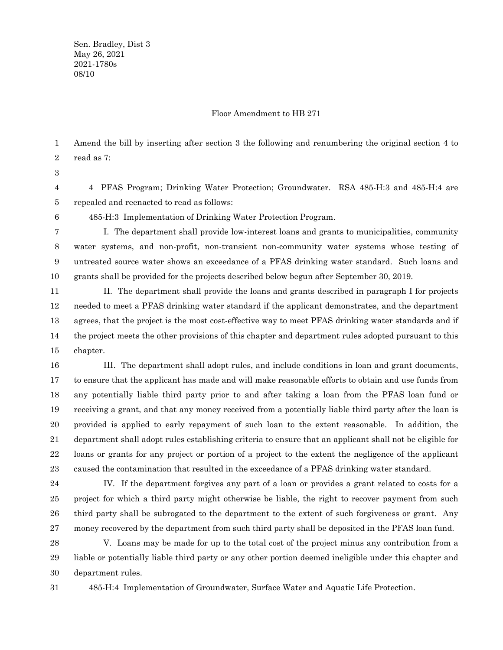Sen. Bradley, Dist 3 May 26, 2021 2021-1780s 08/10

#### Floor Amendment to HB 271

Amend the bill by inserting after section 3 the following and renumbering the original section 4 to read as 7: 1 2

3

4 PFAS Program; Drinking Water Protection; Groundwater. RSA 485-H:3 and 485-H:4 are repealed and reenacted to read as follows: 4 5

6

485-H:3 Implementation of Drinking Water Protection Program.

I. The department shall provide low-interest loans and grants to municipalities, community water systems, and non-profit, non-transient non-community water systems whose testing of untreated source water shows an exceedance of a PFAS drinking water standard. Such loans and grants shall be provided for the projects described below begun after September 30, 2019. 7 8 9 10

II. The department shall provide the loans and grants described in paragraph I for projects needed to meet a PFAS drinking water standard if the applicant demonstrates, and the department agrees, that the project is the most cost-effective way to meet PFAS drinking water standards and if the project meets the other provisions of this chapter and department rules adopted pursuant to this chapter. 11 12 13 14 15

III. The department shall adopt rules, and include conditions in loan and grant documents, to ensure that the applicant has made and will make reasonable efforts to obtain and use funds from any potentially liable third party prior to and after taking a loan from the PFAS loan fund or receiving a grant, and that any money received from a potentially liable third party after the loan is provided is applied to early repayment of such loan to the extent reasonable. In addition, the department shall adopt rules establishing criteria to ensure that an applicant shall not be eligible for loans or grants for any project or portion of a project to the extent the negligence of the applicant caused the contamination that resulted in the exceedance of a PFAS drinking water standard. 16 17 18 19 20 21 22 23

IV. If the department forgives any part of a loan or provides a grant related to costs for a project for which a third party might otherwise be liable, the right to recover payment from such third party shall be subrogated to the department to the extent of such forgiveness or grant. Any money recovered by the department from such third party shall be deposited in the PFAS loan fund. 24 25 26 27

V. Loans may be made for up to the total cost of the project minus any contribution from a liable or potentially liable third party or any other portion deemed ineligible under this chapter and department rules. 28 29 30

31

485-H:4 Implementation of Groundwater, Surface Water and Aquatic Life Protection.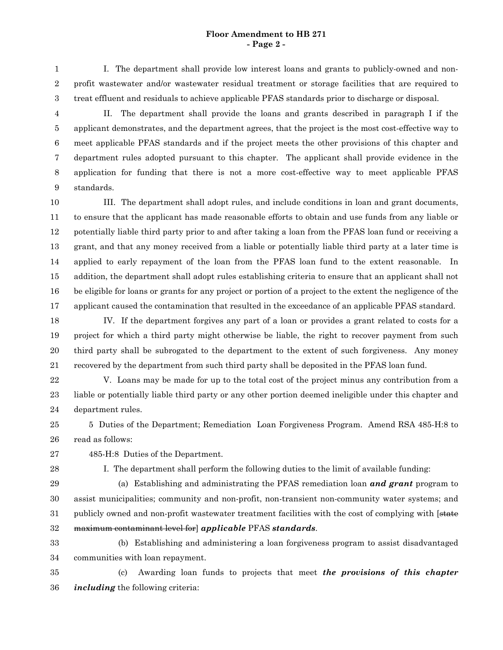#### **Floor Amendment to HB 271 - Page 2 -**

I. The department shall provide low interest loans and grants to publicly-owned and nonprofit wastewater and/or wastewater residual treatment or storage facilities that are required to treat effluent and residuals to achieve applicable PFAS standards prior to discharge or disposal. 1 2 3

II. The department shall provide the loans and grants described in paragraph I if the applicant demonstrates, and the department agrees, that the project is the most cost-effective way to meet applicable PFAS standards and if the project meets the other provisions of this chapter and department rules adopted pursuant to this chapter. The applicant shall provide evidence in the application for funding that there is not a more cost-effective way to meet applicable PFAS standards. 4 5 6 7 8 9

III. The department shall adopt rules, and include conditions in loan and grant documents, to ensure that the applicant has made reasonable efforts to obtain and use funds from any liable or potentially liable third party prior to and after taking a loan from the PFAS loan fund or receiving a grant, and that any money received from a liable or potentially liable third party at a later time is applied to early repayment of the loan from the PFAS loan fund to the extent reasonable. In addition, the department shall adopt rules establishing criteria to ensure that an applicant shall not be eligible for loans or grants for any project or portion of a project to the extent the negligence of the applicant caused the contamination that resulted in the exceedance of an applicable PFAS standard. 10 11 12 13 14 15 16 17

IV. If the department forgives any part of a loan or provides a grant related to costs for a project for which a third party might otherwise be liable, the right to recover payment from such third party shall be subrogated to the department to the extent of such forgiveness. Any money recovered by the department from such third party shall be deposited in the PFAS loan fund. 18 19 20 21

22

V. Loans may be made for up to the total cost of the project minus any contribution from a liable or potentially liable third party or any other portion deemed ineligible under this chapter and department rules. 23 24

5 Duties of the Department; Remediation Loan Forgiveness Program. Amend RSA 485-H:8 to read as follows: 25 26

- 485-H:8 Duties of the Department. 27
- 28

I. The department shall perform the following duties to the limit of available funding:

29

(a) Establishing and administrating the PFAS remediation loan *and grant* program to assist municipalities; community and non-profit, non-transient non-community water systems; and publicly owned and non-profit wastewater treatment facilities with the cost of complying with [state maximum contaminant level for] *applicable* PFAS *standards*. 30 31 32

(b) Establishing and administering a loan forgiveness program to assist disadvantaged communities with loan repayment. 33 34

(c) Awarding loan funds to projects that meet *the provisions of this chapter including* the following criteria: 35 36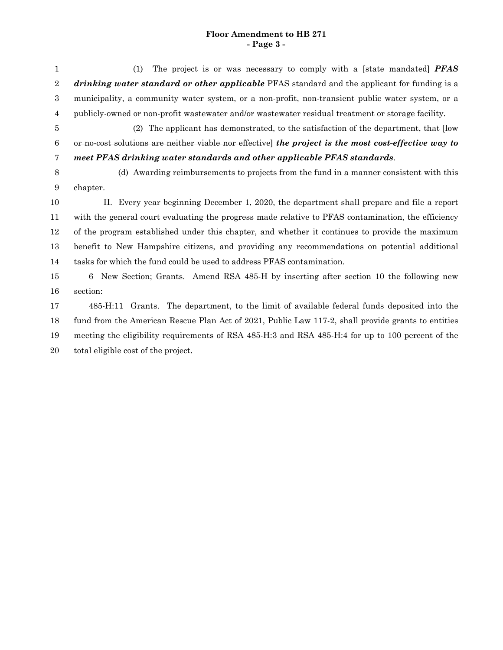## **Floor Amendment to HB 271 - Page 3 -**

(1) The project is or was necessary to comply with a [state mandated] *PFAS drinking water standard or other applicable* PFAS standard and the applicant for funding is a municipality, a community water system, or a non-profit, non-transient public water system, or a publicly-owned or non-profit wastewater and/or wastewater residual treatment or storage facility. (2) The applicant has demonstrated, to the satisfaction of the department, that  $\overline{\text{low}}$ or no-cost solutions are neither viable nor effective] *the project is the most cost-effective way to meet PFAS drinking water standards and other applicable PFAS standards*. (d) Awarding reimbursements to projects from the fund in a manner consistent with this chapter. II. Every year beginning December 1, 2020, the department shall prepare and file a report with the general court evaluating the progress made relative to PFAS contamination, the efficiency of the program established under this chapter, and whether it continues to provide the maximum benefit to New Hampshire citizens, and providing any recommendations on potential additional tasks for which the fund could be used to address PFAS contamination. 6 New Section; Grants. Amend RSA 485-H by inserting after section 10 the following new section: 485-H:11 Grants. The department, to the limit of available federal funds deposited into the fund from the American Rescue Plan Act of 2021, Public Law 117-2, shall provide grants to entities meeting the eligibility requirements of RSA 485-H:3 and RSA 485-H:4 for up to 100 percent of the total eligible cost of the project. 1 2 3 4 5 6 7 8 9 10 11 12 13 14 15 16 17 18 19 20